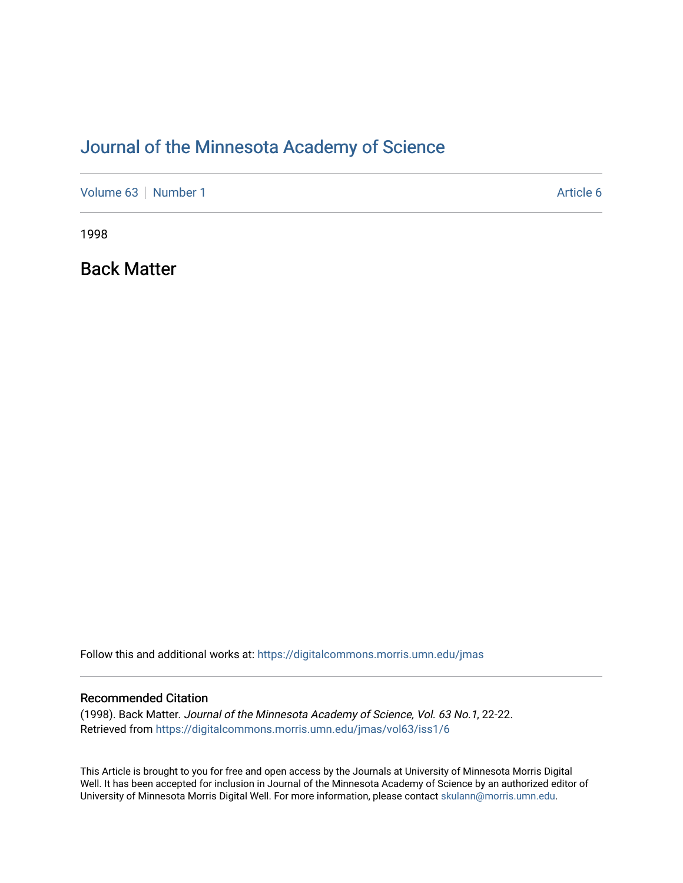## [Journal of the Minnesota Academy of Science](https://digitalcommons.morris.umn.edu/jmas)

[Volume 63](https://digitalcommons.morris.umn.edu/jmas/vol63) [Number 1](https://digitalcommons.morris.umn.edu/jmas/vol63/iss1) Article 6

1998

Back Matter

Follow this and additional works at: [https://digitalcommons.morris.umn.edu/jmas](https://digitalcommons.morris.umn.edu/jmas?utm_source=digitalcommons.morris.umn.edu%2Fjmas%2Fvol63%2Fiss1%2F6&utm_medium=PDF&utm_campaign=PDFCoverPages) 

#### Recommended Citation

(1998). Back Matter. Journal of the Minnesota Academy of Science, Vol. 63 No.1, 22-22. Retrieved from [https://digitalcommons.morris.umn.edu/jmas/vol63/iss1/6](https://digitalcommons.morris.umn.edu/jmas/vol63/iss1/6?utm_source=digitalcommons.morris.umn.edu%2Fjmas%2Fvol63%2Fiss1%2F6&utm_medium=PDF&utm_campaign=PDFCoverPages)

This Article is brought to you for free and open access by the Journals at University of Minnesota Morris Digital Well. It has been accepted for inclusion in Journal of the Minnesota Academy of Science by an authorized editor of University of Minnesota Morris Digital Well. For more information, please contact [skulann@morris.umn.edu](mailto:skulann@morris.umn.edu).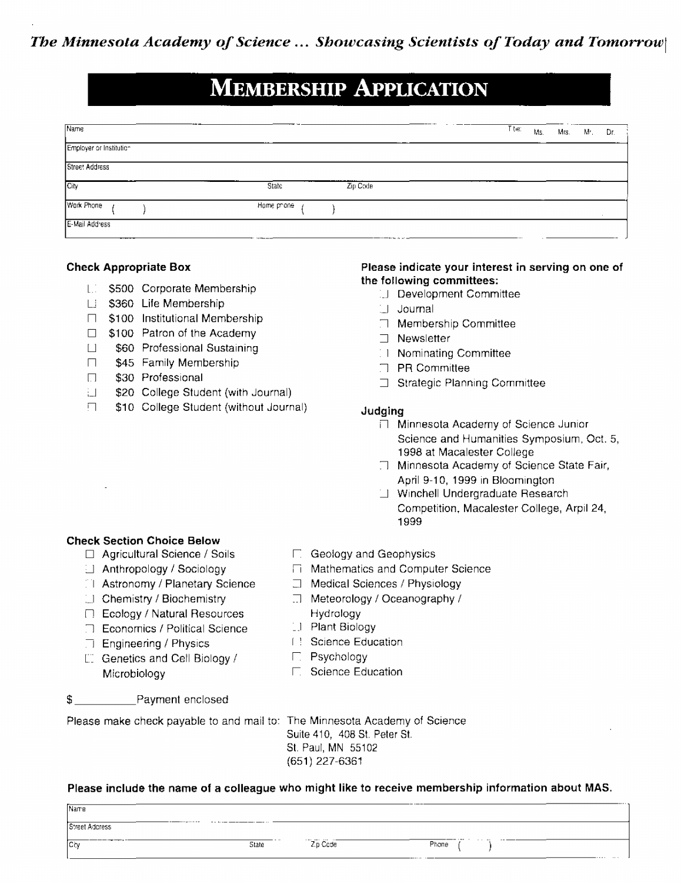# **MEMBERSHIP APPLICATION**

| Name                    |             |          |  | T tie: | Ms. | Mrs. | M. | Dr. |
|-------------------------|-------------|----------|--|--------|-----|------|----|-----|
| Employer or Institution |             |          |  |        |     |      |    |     |
| Street Address          |             |          |  |        |     |      |    |     |
| City                    | State       | Zip Code |  |        |     |      |    |     |
| Work Phone              | Home prione |          |  |        |     |      |    |     |
| E-Mail Address<br>----  | $\sim$      |          |  |        |     |      |    |     |

#### **Check Appropriate Box**

- [.] \$500 Corporate Membership
- Li \$360 Life Membership
- □ \$100 Institutional Membership
- $\Box$  \$100 Patron of the Academy
- \$60 Professional Sustaining  $\Box$
- \$45 Family Membership  $\Box$
- \$30 Professional  $\Box$
- \$20 College Student (with Journal) 针目
- \$10 College Student (without Journal)  $\Box$

#### Please indicate your interest in serving on one of the following committees:

- Development Committee
- 11 Journal
- □ Membership Committee
- $\neg$  Newsletter
- 11 Nominating Committee
- $\Box$  PR Committee
- □ Strategic Planning Committee

#### Judging

- □ Minnesota Academy of Science Junior Science and Humanities Symposium, Oct. 5, 1998 at Macalester College
- □ Minnesota Academy of Science State Fair, April 9-10, 1999 in Bloomington
- Winchell Undergraduate Research Competition, Macalester College, Arpil 24, 1999

#### **Check Section Choice Below**

- □ Agricultural Science / Soils
- $\Box$  Anthropology / Sociology
- [1] Astronomy / Planetary Science
- [1] Chemistry / Biochemistry
- □ Ecology / Natural Resources
- □ Economics / Political Science
- $\Box$  Engineering / Physics
- [1] Genetics and Cell Biology / Microbiology
- \$ Payment enclosed

Please make check payable to and mail to: The Minnesota Academy of Science

## □ Geology and Geophysics

- □ Mathematics and Computer Science
- □ Medical Sciences / Physiology
- $\Box$  Meteorology / Oceanography / Hydrology
- [1] Plant Biology
- [ ] Science Education
- $\Gamma$ . Psychology
- □ Science Education

Suite 410, 408 St. Peter St. St. Paul, MN 55102 (651) 227-6361

#### Please include the name of a colleague who might like to receive membership information about MAS.

| Name                       |                                                                    |                      | __ _ _ _ _      | $- \cdots$           |
|----------------------------|--------------------------------------------------------------------|----------------------|-----------------|----------------------|
| Street Address             | --------------------<br>The following components and components of |                      |                 |                      |
| ___________<br><b>City</b> | State                                                              | Zip Code<br>$\cdots$ | ------<br>Phone | $\cdots$<br>$\cdots$ |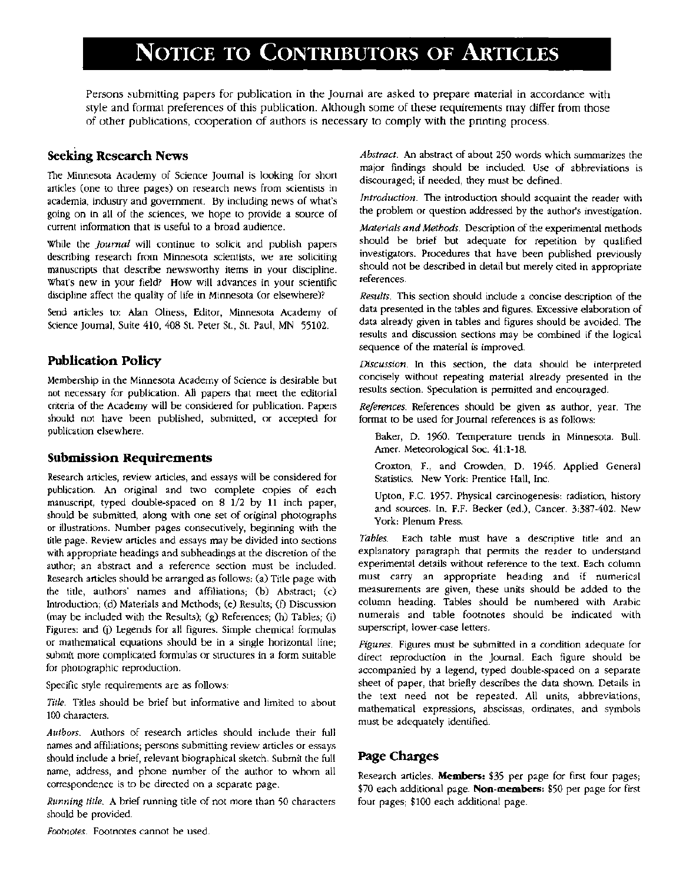# NOTICE TO CONTRIBUTORS OF ARTICLES

Persons submitting papers for publication in the Journal are asked to prepare material in accordance with style and format preferences of this publication. Although some of these requirements may differ from those of other publications, cooperation of authors is necessary to comply with the printing process.

### **Seeking Research News**

The Minnesota Academy of Science Journal is looking for short articles (one to three pages) on research news from scientists in academia, industry and government. By including news of what's going on in all of the sciences, we hope to provide a source of current information that is useful to a broad audience.

While the *Journal* will continue to solicit and publish papers describing research from Minnesota scientists, we are soliciting manuscripts that describe newsworthy items in your discipline. What's new in your field? How will advances in your scientific discipline affect the quality of life in Minnesota (or elsewhere)?

Send articles to: Alan Olness, Editor, Minnesota Academy of Science Journal, Suite 410, 408 St. Peter St., St. Paul, MN 55102.

## **Publication Policy**

Membership in the Minnesota Academy of Science is desirable but not necessary for publication. All papers that meet the editorial criteria of the Academy will be considered for publication. Papers should not have been published, submitted, or accepted for publication elsewhere.

#### **Submission Requirements**

Research articles, review articles, and essays will be considered for publication. An original and two complete copies of each manuscript, typed double-spaced on 8 1/2 by 11 inch paper, should be submitted, along with one set of original photographs or illustrations. Number pages consecutively, beginning with the title page. Review articles and essays may be divided into sections with appropriate headings and subheadings at the discretion of the author; an abstract and a reference section must be included. Research articles should he arranged as follows: (a) Title page with the title, authors' names and affiliations; (b) Abstract; (c) Introduction: (d) Materials and Methods; (e) Results; (D Discussion (may be included with the Results); (g) References; (h) Tables; (i) Figures: and (j) Legends for all figures. Simple chemical formulas or mathematical equations should be in a single horizontal line; submit more complicated formulas or structures in a form suitable for photographic reproduction.

Specific style requirements are as follows:

*Title.* Titles should be brief but informative and limited to about 100 characters.

*Authors.* Authors of research articles should include their full names and affiliations; persons submitting review articles or essays should include a brief, relevant biographical sketch. Submit the full name, address, and phone numher of the author to whom all correspondence is to be directed on a separate page.

*Running title.* A hrief running title of not more than 50 characters should be provided.

*Abstract.* An abstract of about 250 words which summarizes the major findings should be induded. Use of abbreviations is discouraged; if needed, they must be defined.

*Introduction.* The introduction should acquaint the reader with the problem or question addressed by the author's investigation.

*Materials and Methods.* Description of the experimental methods should be brief but adequate for repetition by qualified investigators. Procedures that have been published previously should not be described in detail but merely cited in appropriate references.

*Results*. This section should include a concise description of the data presented in the tables and figures. Excessive elaboration of data already given in tables and figures should be avoided. The results and discussion sections may be combined if the logical sequence of the material is improved.

*Discussion.* In this section, the data should be interpreted concisely without repeating material already presented in the results section. Speculation is permitted and encouraged.

*References.* References should be given as author, year. The format to be used for Journal references is as follows:

Baker, D. 1960. Temperature trends in Minnesota. Bull. Amer. Meteorological Soc. 41:1-18.

Croxton, F., and Crowden, D. 1946. Applied General Statistics. New York: Prentice Hall, Inc.

Upton, F.C. 1957. Physical carcinogenesis: radiation, history and sources. In. F.F. Becker (ed.), Cancer. 3:387-402. New York: Plenum Press.

Tables. Each table must have a descriptive title and an explanatory paragraph that permits the reader to understand experimental details without reference to the text. Each column must carry an appropriate heading and if numerical measurements are given, these units should be added to the column heading. Tables should be numbered with Arabic numerals and table footnotes should be indicated with superscript, lower-case letters.

*Figures.* Figures must be submitted in a condition adequate for direct reproduction in the Journal. Each figure should be accompanied by a legend, typed double-spaced on a separate sheet of paper, that briefly describes the data shown. Details in the text need not be repeated. All units, abbreviations, mathematical expressions, abscissas, ordinates, and symbols must be adequately identified.

## Page Charges

Research articles. **Members:** \$35 per page for first four pages; \$70 each additional page. **Non-members:** \$50 per page for first four pages; \$100 each additional page.

*Footnotes.* Footnotes cannot he used.